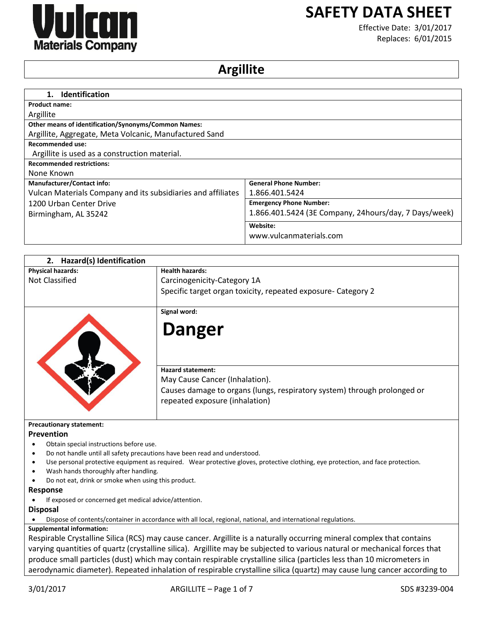

# **SAFETY DATA SHEET**

Effective Date: 3/01/2017 Replaces: 6/01/2015

# **Argillite**

| <b>Identification</b><br>1.                                  |                                                       |
|--------------------------------------------------------------|-------------------------------------------------------|
| <b>Product name:</b>                                         |                                                       |
| Argillite                                                    |                                                       |
| Other means of identification/Synonyms/Common Names:         |                                                       |
| Argillite, Aggregate, Meta Volcanic, Manufactured Sand       |                                                       |
| Recommended use:                                             |                                                       |
| Argillite is used as a construction material.                |                                                       |
| <b>Recommended restrictions:</b>                             |                                                       |
| None Known                                                   |                                                       |
| <b>Manufacturer/Contact info:</b>                            | <b>General Phone Number:</b>                          |
| Vulcan Materials Company and its subsidiaries and affiliates | 1.866.401.5424                                        |
| 1200 Urban Center Drive                                      | <b>Emergency Phone Number:</b>                        |
| Birmingham, AL 35242                                         | 1.866.401.5424 (3E Company, 24hours/day, 7 Days/week) |
|                                                              | Website:                                              |
|                                                              | www.vulcanmaterials.com                               |

| 2. Hazard(s) Identification                                               |                                                                                                                                  |
|---------------------------------------------------------------------------|----------------------------------------------------------------------------------------------------------------------------------|
| <b>Physical hazards:</b>                                                  | <b>Health hazards:</b>                                                                                                           |
| <b>Not Classified</b>                                                     | Carcinogenicity-Category 1A                                                                                                      |
|                                                                           | Specific target organ toxicity, repeated exposure- Category 2                                                                    |
|                                                                           | Signal word:                                                                                                                     |
|                                                                           | <b>Danger</b>                                                                                                                    |
|                                                                           | <b>Hazard statement:</b>                                                                                                         |
|                                                                           | May Cause Cancer (Inhalation).                                                                                                   |
|                                                                           | Causes damage to organs (lungs, respiratory system) through prolonged or<br>repeated exposure (inhalation)                       |
| <b>Precautionary statement:</b>                                           |                                                                                                                                  |
| Prevention                                                                |                                                                                                                                  |
| Obtain special instructions before use.                                   |                                                                                                                                  |
| Do not handle until all safety precautions have been read and understood. |                                                                                                                                  |
|                                                                           | Use personal protective equipment as required. Wear protective gloves, protective clothing, eye protection, and face protection. |
| Wash hands thoroughly after handling.                                     |                                                                                                                                  |
| Do not eat, drink or smoke when using this product.                       |                                                                                                                                  |
| <b>Response</b>                                                           |                                                                                                                                  |
| If exposed or concerned get medical advice/attention.                     |                                                                                                                                  |
| <b>Disposal</b>                                                           |                                                                                                                                  |
|                                                                           | Dispose of contents/container in accordance with all local, regional, national, and international regulations.                   |
| <b>Supplemental information:</b>                                          |                                                                                                                                  |
|                                                                           | Becairable Crustalline Silica (BCS) may sause sanser. Argillite is a naturally oscurring mineral complex that contains           |

Respirable Crystalline Silica (RCS) may cause cancer. Argillite is a naturally occurring mineral complex that contains varying quantities of quartz (crystalline silica). Argillite may be subjected to various natural or mechanical forces that produce small particles (dust) which may contain respirable crystalline silica (particles less than 10 micrometers in aerodynamic diameter). Repeated inhalation of respirable crystalline silica (quartz) may cause lung cancer according to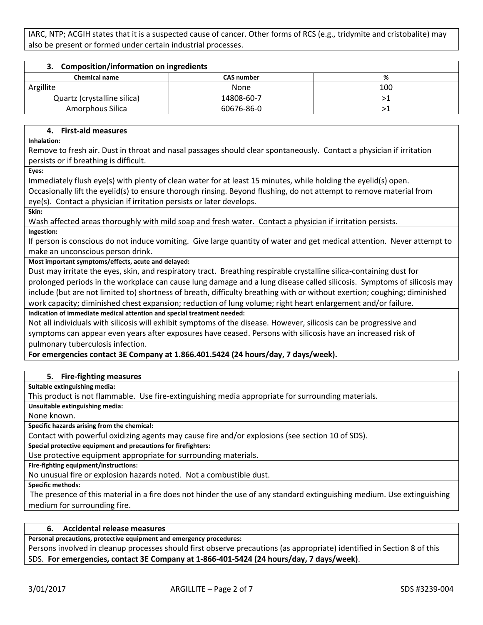IARC, NTP; ACGIH states that it is a suspected cause of cancer. Other forms of RCS (e.g., tridymite and cristobalite) may also be present or formed under certain industrial processes.

| 3. Composition/information on ingredients |                   |     |
|-------------------------------------------|-------------------|-----|
| <b>Chemical name</b>                      | <b>CAS number</b> | %   |
| Argillite                                 | None              | 100 |
| Quartz (crystalline silica)               | 14808-60-7        |     |
| <b>Amorphous Silica</b>                   | 60676-86-0        |     |

## **4. First-aid measures**

**Inhalation:**

Remove to fresh air. Dust in throat and nasal passages should clear spontaneously. Contact a physician if irritation persists or if breathing is difficult.

**Eyes:**

Immediately flush eye(s) with plenty of clean water for at least 15 minutes, while holding the eyelid(s) open. Occasionally lift the eyelid(s) to ensure thorough rinsing. Beyond flushing, do not attempt to remove material from eye(s). Contact a physician if irritation persists or later develops.

**Skin:**

Wash affected areas thoroughly with mild soap and fresh water. Contact a physician if irritation persists.

### **Ingestion:**

If person is conscious do not induce vomiting. Give large quantity of water and get medical attention. Never attempt to make an unconscious person drink.

## **Most important symptoms/effects, acute and delayed:**

Dust may irritate the eyes, skin, and respiratory tract. Breathing respirable crystalline silica-containing dust for prolonged periods in the workplace can cause lung damage and a lung disease called silicosis. Symptoms of silicosis may include (but are not limited to) shortness of breath, difficulty breathing with or without exertion; coughing; diminished work capacity; diminished chest expansion; reduction of lung volume; right heart enlargement and/or failure. **Indication of immediate medical attention and special treatment needed:**

Not all individuals with silicosis will exhibit symptoms of the disease. However, silicosis can be progressive and symptoms can appear even years after exposures have ceased. Persons with silicosis have an increased risk of pulmonary tuberculosis infection.

## **For emergencies contact 3E Company at 1.866.401.5424 (24 hours/day, 7 days/week).**

## **5. Fire-fighting measures**

**Suitable extinguishing media:**

This product is not flammable. Use fire-extinguishing media appropriate for surrounding materials.

**Unsuitable extinguishing media:**

None known.

**Specific hazards arising from the chemical:**

Contact with powerful oxidizing agents may cause fire and/or explosions (see section 10 of SDS).

**Special protective equipment and precautions for firefighters:**

Use protective equipment appropriate for surrounding materials.

**Fire-fighting equipment/instructions:**

No unusual fire or explosion hazards noted. Not a combustible dust.

**Specific methods:**

The presence of this material in a fire does not hinder the use of any standard extinguishing medium. Use extinguishing medium for surrounding fire.

# **6. Accidental release measures**

**Personal precautions, protective equipment and emergency procedures:**

Persons involved in cleanup processes should first observe precautions (as appropriate) identified in Section 8 of this SDS. **For emergencies, contact 3E Company at 1-866-401-5424 (24 hours/day, 7 days/week)**.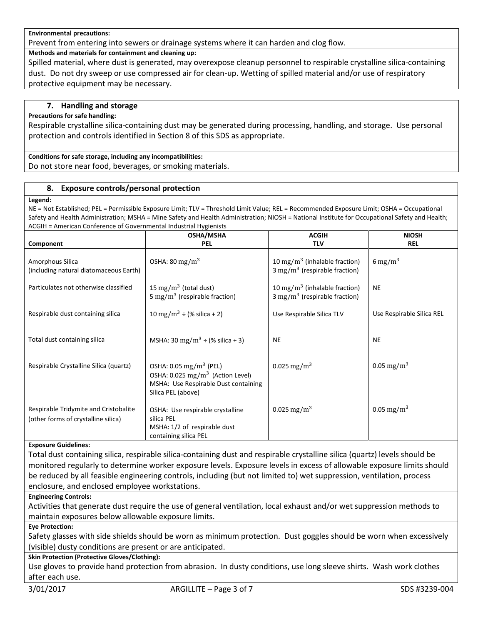#### **Environmental precautions:**

Prevent from entering into sewers or drainage systems where it can harden and clog flow.

**Methods and materials for containment and cleaning up:**

Spilled material, where dust is generated, may overexpose cleanup personnel to respirable crystalline silica-containing dust. Do not dry sweep or use compressed air for clean-up. Wetting of spilled material and/or use of respiratory protective equipment may be necessary.

## **7. Handling and storage**

### **Precautions for safe handling:**

Respirable crystalline silica-containing dust may be generated during processing, handling, and storage. Use personal protection and controls identified in Section 8 of this SDS as appropriate.

**Conditions for safe storage, including any incompatibilities:** Do not store near food, beverages, or smoking materials.

### **8. Exposure controls/personal protection**

#### **Legend:**

NE = Not Established; PEL = Permissible Exposure Limit; TLV = Threshold Limit Value; REL = Recommended Exposure Limit; OSHA = Occupational Safety and Health Administration; MSHA = Mine Safety and Health Administration; NIOSH = National Institute for Occupational Safety and Health; ACGIH = American Conference of Governmental Industrial Hygienists

|                                                                              | OSHA/MSHA                                                                                                                                          | <b>ACGIH</b>                                                                           | <b>NIOSH</b>              |
|------------------------------------------------------------------------------|----------------------------------------------------------------------------------------------------------------------------------------------------|----------------------------------------------------------------------------------------|---------------------------|
| Component                                                                    | <b>PEL</b>                                                                                                                                         | <b>TLV</b>                                                                             | <b>REL</b>                |
| Amorphous Silica<br>(including natural diatomaceous Earth)                   | OSHA: 80 mg/m <sup>3</sup>                                                                                                                         | 10 mg/m <sup>3</sup> (inhalable fraction)<br>3 mg/m <sup>3</sup> (respirable fraction) | 6 mg/m <sup>3</sup>       |
| Particulates not otherwise classified                                        | 15 mg/m <sup>3</sup> (total dust)<br>5 mg/m <sup>3</sup> (respirable fraction)                                                                     | 10 mg/m <sup>3</sup> (inhalable fraction)<br>3 mg/m <sup>3</sup> (respirable fraction) | <b>NE</b>                 |
| Respirable dust containing silica                                            | 10 mg/m <sup>3</sup> ÷ (% silica + 2)                                                                                                              | Use Respirable Silica TLV                                                              | Use Respirable Silica REL |
| Total dust containing silica                                                 | MSHA: 30 mg/m <sup>3</sup> ÷ (% silica + 3)                                                                                                        | <b>NE</b>                                                                              | <b>NE</b>                 |
| Respirable Crystalline Silica (quartz)                                       | OSHA: 0.05 mg/m <sup>3</sup> (PEL)<br>OSHA: $0.025$ mg/m <sup>3</sup> (Action Level)<br>MSHA: Use Respirable Dust containing<br>Silica PEL (above) | 0.025 mg/m <sup>3</sup>                                                                | 0.05 mg/m <sup>3</sup>    |
| Respirable Tridymite and Cristobalite<br>(other forms of crystalline silica) | OSHA: Use respirable crystalline<br>silica PEL<br>MSHA: 1/2 of respirable dust<br>containing silica PEL                                            | 0.025 mg/m <sup>3</sup>                                                                | 0.05 mg/m <sup>3</sup>    |

#### **Exposure Guidelines:**

Total dust containing silica, respirable silica-containing dust and respirable crystalline silica (quartz) levels should be monitored regularly to determine worker exposure levels. Exposure levels in excess of allowable exposure limits should be reduced by all feasible engineering controls, including (but not limited to) wet suppression, ventilation, process enclosure, and enclosed employee workstations.

#### **Engineering Controls:**

Activities that generate dust require the use of general ventilation, local exhaust and/or wet suppression methods to maintain exposures below allowable exposure limits.

#### **Eye Protection:**

Safety glasses with side shields should be worn as minimum protection. Dust goggles should be worn when excessively (visible) dusty conditions are present or are anticipated.

## **Skin Protection (Protective Gloves/Clothing):**

Use gloves to provide hand protection from abrasion. In dusty conditions, use long sleeve shirts. Wash work clothes after each use.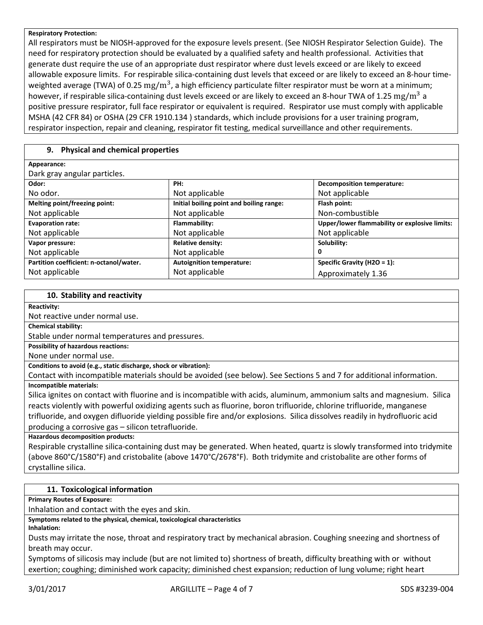#### **Respiratory Protection:**

All respirators must be NIOSH-approved for the exposure levels present. (See NIOSH Respirator Selection Guide). The need for respiratory protection should be evaluated by a qualified safety and health professional. Activities that generate dust require the use of an appropriate dust respirator where dust levels exceed or are likely to exceed allowable exposure limits. For respirable silica-containing dust levels that exceed or are likely to exceed an 8-hour timeweighted average (TWA) of 0.25  $\rm mg/m^3$ , a high efficiency particulate filter respirator must be worn at a minimum; however, if respirable silica-containing dust levels exceed or are likely to exceed an 8-hour TWA of 1.25  $\rm mg/m^3$  a positive pressure respirator, full face respirator or equivalent is required. Respirator use must comply with applicable MSHA (42 CFR 84) or OSHA (29 CFR 1910.134 ) standards, which include provisions for a user training program, respirator inspection, repair and cleaning, respirator fit testing, medical surveillance and other requirements.

# **9. Physical and chemical properties**

| Appearance:                             |                                          |                                               |
|-----------------------------------------|------------------------------------------|-----------------------------------------------|
| Dark gray angular particles.            |                                          |                                               |
| Odor:                                   | PH:                                      | <b>Decomposition temperature:</b>             |
| No odor.                                | Not applicable                           | Not applicable                                |
| Melting point/freezing point:           | Initial boiling point and boiling range: | Flash point:                                  |
| Not applicable                          | Not applicable                           | Non-combustible                               |
| <b>Evaporation rate:</b>                | Flammability:                            | Upper/lower flammability or explosive limits: |
| Not applicable                          | Not applicable                           | Not applicable                                |
| Vapor pressure:                         | <b>Relative density:</b>                 | Solubility:                                   |
| Not applicable                          | Not applicable                           | 0                                             |
| Partition coefficient: n-octanol/water. | <b>Autoignition temperature:</b>         | Specific Gravity (H2O = 1):                   |
| Not applicable                          | Not applicable                           | Approximately 1.36                            |

#### **10. Stability and reactivity**

#### **Reactivity:**

Not reactive under normal use.

**Chemical stability:**

Stable under normal temperatures and pressures.

**Possibility of hazardous reactions:**

None under normal use.

**Conditions to avoid (e.g., static discharge, shock or vibration):**

Contact with incompatible materials should be avoided (see below). See Sections 5 and 7 for additional information. **Incompatible materials:**

Silica ignites on contact with fluorine and is incompatible with acids, aluminum, ammonium salts and magnesium. Silica reacts violently with powerful oxidizing agents such as fluorine, boron trifluoride, chlorine trifluoride, manganese trifluoride, and oxygen difluoride yielding possible fire and/or explosions. Silica dissolves readily in hydrofluoric acid producing a corrosive gas – silicon tetrafluoride.

**Hazardous decomposition products:**

Respirable crystalline silica-containing dust may be generated. When heated, quartz is slowly transformed into tridymite (above 860°C/1580°F) and cristobalite (above 1470°C/2678°F). Both tridymite and cristobalite are other forms of crystalline silica.

## **11. Toxicological information**

**Primary Routes of Exposure:**

Inhalation and contact with the eyes and skin.

**Symptoms related to the physical, chemical, toxicological characteristics**

**Inhalation:**

Dusts may irritate the nose, throat and respiratory tract by mechanical abrasion. Coughing sneezing and shortness of breath may occur.

Symptoms of silicosis may include (but are not limited to) shortness of breath, difficulty breathing with or without exertion; coughing; diminished work capacity; diminished chest expansion; reduction of lung volume; right heart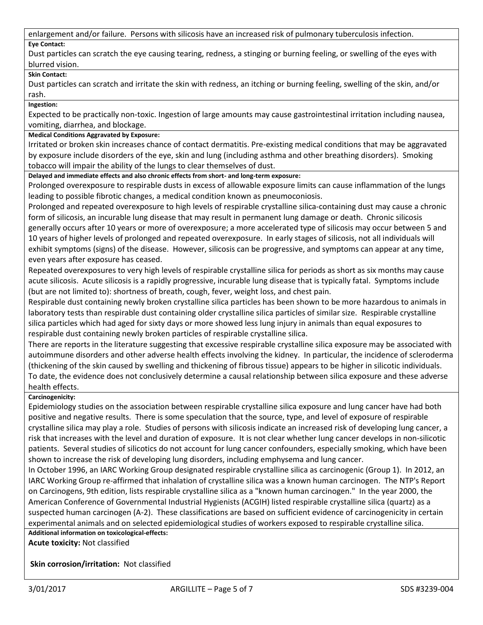enlargement and/or failure. Persons with silicosis have an increased risk of pulmonary tuberculosis infection.

# **Eye Contact:**

Dust particles can scratch the eye causing tearing, redness, a stinging or burning feeling, or swelling of the eyes with blurred vision.

# **Skin Contact:**

Dust particles can scratch and irritate the skin with redness, an itching or burning feeling, swelling of the skin, and/or rash.

**Ingestion:**

Expected to be practically non-toxic. Ingestion of large amounts may cause gastrointestinal irritation including nausea, vomiting, diarrhea, and blockage.

# **Medical Conditions Aggravated by Exposure:**

Irritated or broken skin increases chance of contact dermatitis. Pre-existing medical conditions that may be aggravated by exposure include disorders of the eye, skin and lung (including asthma and other breathing disorders). Smoking tobacco will impair the ability of the lungs to clear themselves of dust.

**Delayed and immediate effects and also chronic effects from short- and long-term exposure:**

Prolonged overexposure to respirable dusts in excess of allowable exposure limits can cause inflammation of the lungs leading to possible fibrotic changes, a medical condition known as pneumoconiosis.

Prolonged and repeated overexposure to high levels of respirable crystalline silica-containing dust may cause a chronic form of silicosis, an incurable lung disease that may result in permanent lung damage or death. Chronic silicosis generally occurs after 10 years or more of overexposure; a more accelerated type of silicosis may occur between 5 and 10 years of higher levels of prolonged and repeated overexposure. In early stages of silicosis, not all individuals will exhibit symptoms (signs) of the disease. However, silicosis can be progressive, and symptoms can appear at any time, even years after exposure has ceased.

Repeated overexposures to very high levels of respirable crystalline silica for periods as short as six months may cause acute silicosis. Acute silicosis is a rapidly progressive, incurable lung disease that is typically fatal. Symptoms include (but are not limited to): shortness of breath, cough, fever, weight loss, and chest pain.

Respirable dust containing newly broken crystalline silica particles has been shown to be more hazardous to animals in laboratory tests than respirable dust containing older crystalline silica particles of similar size. Respirable crystalline silica particles which had aged for sixty days or more showed less lung injury in animals than equal exposures to respirable dust containing newly broken particles of respirable crystalline silica.

There are reports in the literature suggesting that excessive respirable crystalline silica exposure may be associated with autoimmune disorders and other adverse health effects involving the kidney. In particular, the incidence of scleroderma (thickening of the skin caused by swelling and thickening of fibrous tissue) appears to be higher in silicotic individuals. To date, the evidence does not conclusively determine a causal relationship between silica exposure and these adverse health effects.

# **Carcinogenicity:**

Epidemiology studies on the association between respirable crystalline silica exposure and lung cancer have had both positive and negative results. There is some speculation that the source, type, and level of exposure of respirable crystalline silica may play a role. Studies of persons with silicosis indicate an increased risk of developing lung cancer, a risk that increases with the level and duration of exposure. It is not clear whether lung cancer develops in non-silicotic patients. Several studies of silicotics do not account for lung cancer confounders, especially smoking, which have been shown to increase the risk of developing lung disorders, including emphysema and lung cancer.

In October 1996, an IARC Working Group designated respirable crystalline silica as carcinogenic (Group 1). In 2012, an IARC Working Group re-affirmed that inhalation of crystalline silica was a known human carcinogen. The NTP's Report on Carcinogens, 9th edition, lists respirable crystalline silica as a "known human carcinogen." In the year 2000, the American Conference of Governmental Industrial Hygienists (ACGIH) listed respirable crystalline silica (quartz) as a suspected human carcinogen (A-2). These classifications are based on sufficient evidence of carcinogenicity in certain experimental animals and on selected epidemiological studies of workers exposed to respirable crystalline silica.

**Additional information on toxicological-effects: Acute toxicity:** Not classified

**Skin corrosion/irritation:** Not classified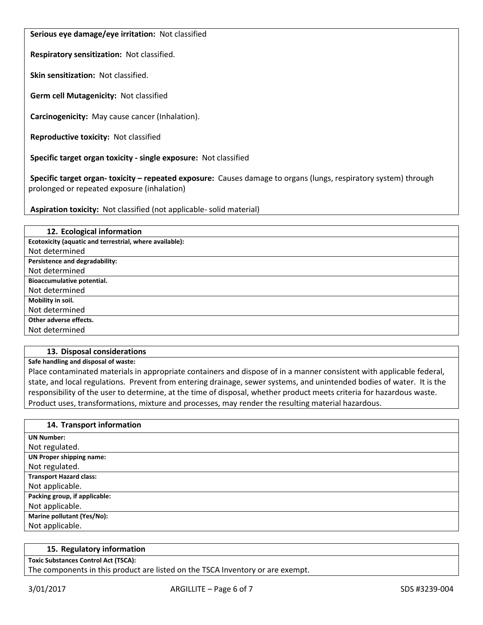**Serious eye damage/eye irritation:** Not classified

**Respiratory sensitization:** Not classified.

**Skin sensitization:** Not classified.

**Germ cell Mutagenicity:** Not classified

**Carcinogenicity:** May cause cancer (Inhalation).

**Reproductive toxicity:** Not classified

**Specific target organ toxicity - single exposure:** Not classified

**Specific target organ- toxicity – repeated exposure:** Causes damage to organs (lungs, respiratory system) through prolonged or repeated exposure (inhalation)

**Aspiration toxicity:** Not classified (not applicable- solid material)

| 12. Ecological information                              |
|---------------------------------------------------------|
| Ecotoxicity (aquatic and terrestrial, where available): |
| Not determined                                          |
| Persistence and degradability:                          |
| Not determined                                          |
| Bioaccumulative potential.                              |
| Not determined                                          |
| Mobility in soil.                                       |
| Not determined                                          |
| Other adverse effects.                                  |
| Not determined                                          |

# **13. Disposal considerations**

**Safe handling and disposal of waste:**

Place contaminated materials in appropriate containers and dispose of in a manner consistent with applicable federal, state, and local regulations. Prevent from entering drainage, sewer systems, and unintended bodies of water. It is the responsibility of the user to determine, at the time of disposal, whether product meets criteria for hazardous waste. Product uses, transformations, mixture and processes, may render the resulting material hazardous.

| 14. Transport information       |
|---------------------------------|
| <b>UN Number:</b>               |
| Not regulated.                  |
| <b>UN Proper shipping name:</b> |
| Not regulated.                  |
| <b>Transport Hazard class:</b>  |
| Not applicable.                 |
| Packing group, if applicable:   |
| Not applicable.                 |
| Marine pollutant (Yes/No):      |
| Not applicable.                 |

#### **15. Regulatory information**

**Toxic Substances Control Act (TSCA):**

The components in this product are listed on the TSCA Inventory or are exempt.